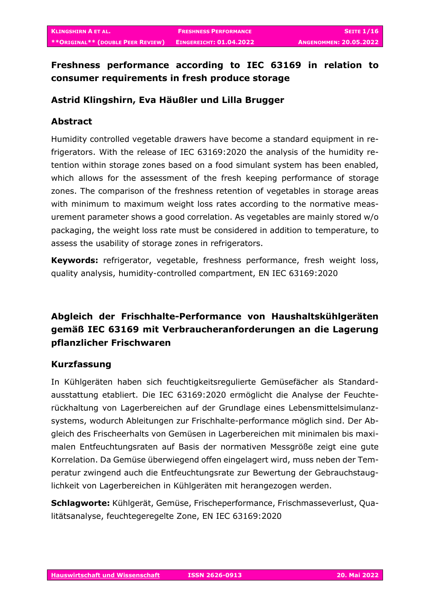# **Freshness performance according to IEC 63169 in relation to consumer requirements in fresh produce storage**

## **Astrid Klingshirn, Eva Häußler und Lilla Brugger**

## **Abstract**

Humidity controlled vegetable drawers have become a standard equipment in refrigerators. With the release of IEC 63169:2020 the analysis of the humidity retention within storage zones based on a food simulant system has been enabled, which allows for the assessment of the fresh keeping performance of storage zones. The comparison of the freshness retention of vegetables in storage areas with minimum to maximum weight loss rates according to the normative measurement parameter shows a good correlation. As vegetables are mainly stored w/o packaging, the weight loss rate must be considered in addition to temperature, to assess the usability of storage zones in refrigerators.

**Keywords:** refrigerator, vegetable, freshness performance, fresh weight loss, quality analysis, humidity-controlled compartment, EN IEC 63169:2020

# **Abgleich der Frischhalte-Performance von Haushaltskühlgeräten gemäß IEC 63169 mit Verbraucheranforderungen an die Lagerung pflanzlicher Frischwaren**

## **Kurzfassung**

In Kühlgeräten haben sich feuchtigkeitsregulierte Gemüsefächer als Standardausstattung etabliert. Die IEC 63169:2020 ermöglicht die Analyse der Feuchterückhaltung von Lagerbereichen auf der Grundlage eines Lebensmittelsimulanzsystems, wodurch Ableitungen zur Frischhalte-performance möglich sind. Der Abgleich des Frischeerhalts von Gemüsen in Lagerbereichen mit minimalen bis maximalen Entfeuchtungsraten auf Basis der normativen Messgröße zeigt eine gute Korrelation. Da Gemüse überwiegend offen eingelagert wird, muss neben der Temperatur zwingend auch die Entfeuchtungsrate zur Bewertung der Gebrauchstauglichkeit von Lagerbereichen in Kühlgeräten mit herangezogen werden.

**Schlagworte:** Kühlgerät, Gemüse, Frischeperformance, Frischmasseverlust, Qualitätsanalyse, feuchtegeregelte Zone, EN IEC 63169:2020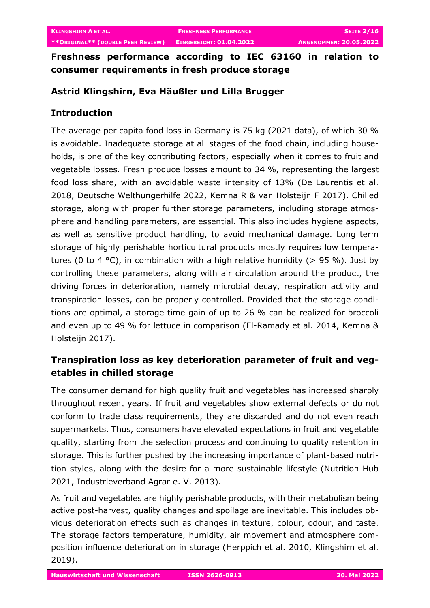**Freshness performance according to IEC 63160 in relation to consumer requirements in fresh produce storage**

# **Astrid Klingshirn, Eva Häußler und Lilla Brugger**

# **Introduction**

The average per capita food loss in Germany is 75 kg (2021 data), of which 30 % is avoidable. Inadequate storage at all stages of the food chain, including households, is one of the key contributing factors, especially when it comes to fruit and vegetable losses. Fresh produce losses amount to 34 %, representing the largest food loss share, with an avoidable waste intensity of 13% (De Laurentis et al. 2018, Deutsche Welthungerhilfe 2022, Kemna R & van Holsteijn F 2017). Chilled storage, along with proper further storage parameters, including storage atmosphere and handling parameters, are essential. This also includes hygiene aspects, as well as sensitive product handling, to avoid mechanical damage. Long term storage of highly perishable horticultural products mostly requires low temperatures (0 to 4 °C), in combination with a high relative humidity ( $> 95$ %). Just by controlling these parameters, along with air circulation around the product, the driving forces in deterioration, namely microbial decay, respiration activity and transpiration losses, can be properly controlled. Provided that the storage conditions are optimal, a storage time gain of up to 26 % can be realized for broccoli and even up to 49 % for lettuce in comparison (El-Ramady et al. 2014, Kemna & Holsteijn 2017).

# **Transpiration loss as key deterioration parameter of fruit and vegetables in chilled storage**

The consumer demand for high quality fruit and vegetables has increased sharply throughout recent years. If fruit and vegetables show external defects or do not conform to trade class requirements, they are discarded and do not even reach supermarkets. Thus, consumers have elevated expectations in fruit and vegetable quality, starting from the selection process and continuing to quality retention in storage. This is further pushed by the increasing importance of plant-based nutrition styles, along with the desire for a more sustainable lifestyle (Nutrition Hub 2021, Industrieverband Agrar e. V. 2013).

As fruit and vegetables are highly perishable products, with their metabolism being active post-harvest, quality changes and spoilage are inevitable. This includes obvious deterioration effects such as changes in texture, colour, odour, and taste. The storage factors temperature, humidity, air movement and atmosphere composition influence deterioration in storage (Herppich et al. 2010, Klingshirn et al. 2019).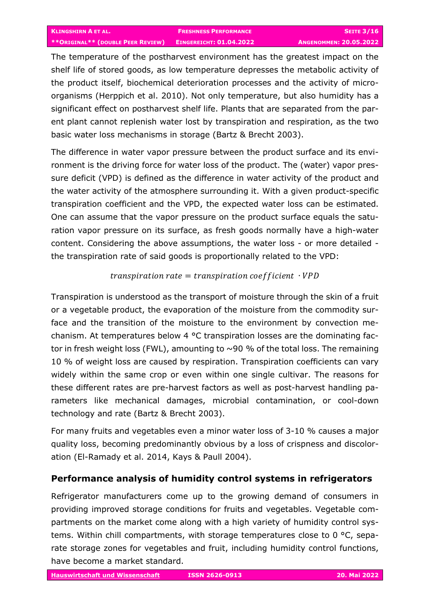The temperature of the postharvest environment has the greatest impact on the shelf life of stored goods, as low temperature depresses the metabolic activity of the product itself, biochemical deterioration processes and the activity of microorganisms (Herppich et al. 2010). Not only temperature, but also humidity has a significant effect on postharvest shelf life. Plants that are separated from the parent plant cannot replenish water lost by transpiration and respiration, as the two basic water loss mechanisms in storage (Bartz & Brecht 2003).

The difference in water vapor pressure between the product surface and its environment is the driving force for water loss of the product. The (water) vapor pressure deficit (VPD) is defined as the difference in water activity of the product and the water activity of the atmosphere surrounding it. With a given product-specific transpiration coefficient and the VPD, the expected water loss can be estimated. One can assume that the vapor pressure on the product surface equals the saturation vapor pressure on its surface, as fresh goods normally have a high-water content. Considering the above assumptions, the water loss - or more detailed the transpiration rate of said goods is proportionally related to the VPD:

#### $transpiration\ rate = transition\ coefficient\ \cdot VPD$

Transpiration is understood as the transport of moisture through the skin of a fruit or a vegetable product, the evaporation of the moisture from the commodity surface and the transition of the moisture to the environment by convection mechanism. At temperatures below 4 °C transpiration losses are the dominating factor in fresh weight loss (FWL), amounting to  $\sim$ 90 % of the total loss. The remaining 10 % of weight loss are caused by respiration. Transpiration coefficients can vary widely within the same crop or even within one single cultivar. The reasons for these different rates are pre-harvest factors as well as post-harvest handling parameters like mechanical damages, microbial contamination, or cool-down technology and rate (Bartz & Brecht 2003).

For many fruits and vegetables even a minor water loss of 3-10 % causes a major quality loss, becoming predominantly obvious by a loss of crispness and discoloration (El-Ramady et al. 2014, Kays & Paull 2004).

## **Performance analysis of humidity control systems in refrigerators**

Refrigerator manufacturers come up to the growing demand of consumers in providing improved storage conditions for fruits and vegetables. Vegetable compartments on the market come along with a high variety of humidity control systems. Within chill compartments, with storage temperatures close to 0 °C, separate storage zones for vegetables and fruit, including humidity control functions, have become a market standard.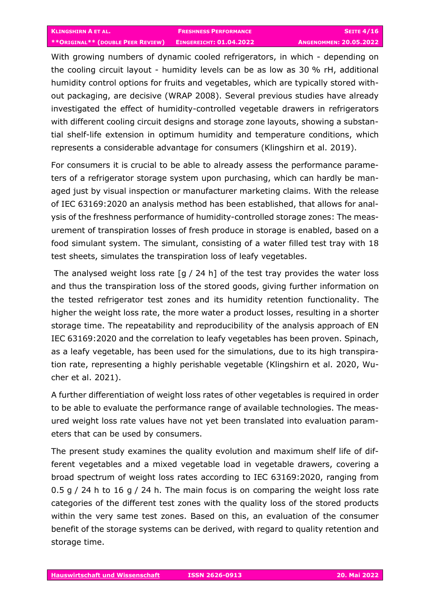With growing numbers of dynamic cooled refrigerators, in which - depending on the cooling circuit layout - humidity levels can be as low as 30 % rH, additional humidity control options for fruits and vegetables, which are typically stored without packaging, are decisive (WRAP 2008). Several previous studies have already investigated the effect of humidity-controlled vegetable drawers in refrigerators with different cooling circuit designs and storage zone layouts, showing a substantial shelf-life extension in optimum humidity and temperature conditions, which represents a considerable advantage for consumers (Klingshirn et al. 2019).

For consumers it is crucial to be able to already assess the performance parameters of a refrigerator storage system upon purchasing, which can hardly be managed just by visual inspection or manufacturer marketing claims. With the release of IEC 63169:2020 an analysis method has been established, that allows for analysis of the freshness performance of humidity-controlled storage zones: The measurement of transpiration losses of fresh produce in storage is enabled, based on a food simulant system. The simulant, consisting of a water filled test tray with 18 test sheets, simulates the transpiration loss of leafy vegetables.

The analysed weight loss rate [g / 24 h] of the test tray provides the water loss and thus the transpiration loss of the stored goods, giving further information on the tested refrigerator test zones and its humidity retention functionality. The higher the weight loss rate, the more water a product losses, resulting in a shorter storage time. The repeatability and reproducibility of the analysis approach of EN IEC 63169:2020 and the correlation to leafy vegetables has been proven. Spinach, as a leafy vegetable, has been used for the simulations, due to its high transpiration rate, representing a highly perishable vegetable (Klingshirn et al. 2020, Wucher et al. 2021).

A further differentiation of weight loss rates of other vegetables is required in order to be able to evaluate the performance range of available technologies. The measured weight loss rate values have not yet been translated into evaluation parameters that can be used by consumers.

The present study examines the quality evolution and maximum shelf life of different vegetables and a mixed vegetable load in vegetable drawers, covering a broad spectrum of weight loss rates according to IEC 63169:2020, ranging from 0.5 g / 24 h to 16 g / 24 h. The main focus is on comparing the weight loss rate categories of the different test zones with the quality loss of the stored products within the very same test zones. Based on this, an evaluation of the consumer benefit of the storage systems can be derived, with regard to quality retention and storage time.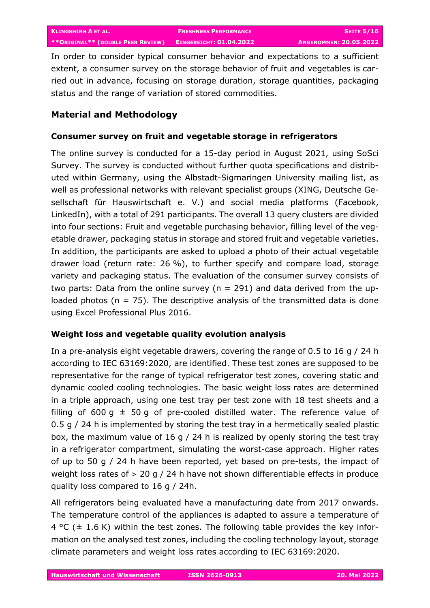In order to consider typical consumer behavior and expectations to a sufficient extent, a consumer survey on the storage behavior of fruit and vegetables is carried out in advance, focusing on storage duration, storage quantities, packaging status and the range of variation of stored commodities.

# **Material and Methodology**

## **Consumer survey on fruit and vegetable storage in refrigerators**

The online survey is conducted for a 15-day period in August 2021, using SoSci Survey. The survey is conducted without further quota specifications and distributed within Germany, using the Albstadt-Sigmaringen University mailing list, as well as professional networks with relevant specialist groups (XING, Deutsche Gesellschaft für Hauswirtschaft e. V.) and social media platforms (Facebook, LinkedIn), with a total of 291 participants. The overall 13 query clusters are divided into four sections: Fruit and vegetable purchasing behavior, filling level of the vegetable drawer, packaging status in storage and stored fruit and vegetable varieties. In addition, the participants are asked to upload a photo of their actual vegetable drawer load (return rate: 26 %), to further specify and compare load, storage variety and packaging status. The evaluation of the consumer survey consists of two parts: Data from the online survey ( $n = 291$ ) and data derived from the uploaded photos ( $n = 75$ ). The descriptive analysis of the transmitted data is done using Excel Professional Plus 2016.

## **Weight loss and vegetable quality evolution analysis**

In a pre-analysis eight vegetable drawers, covering the range of 0.5 to 16 g / 24 h according to IEC 63169:2020, are identified. These test zones are supposed to be representative for the range of typical refrigerator test zones, covering static and dynamic cooled cooling technologies. The basic weight loss rates are determined in a triple approach, using one test tray per test zone with 18 test sheets and a filling of 600 g  $\pm$  50 g of pre-cooled distilled water. The reference value of 0.5 g / 24 h is implemented by storing the test tray in a hermetically sealed plastic box, the maximum value of 16 g / 24 h is realized by openly storing the test tray in a refrigerator compartment, simulating the worst-case approach. Higher rates of up to 50 g / 24 h have been reported, yet based on pre-tests, the impact of weight loss rates of > 20 g / 24 h have not shown differentiable effects in produce quality loss compared to 16 g / 24h.

All refrigerators being evaluated have a manufacturing date from 2017 onwards. The temperature control of the appliances is adapted to assure a temperature of 4 °C ( $\pm$  1.6 K) within the test zones. The following table provides the key information on the analysed test zones, including the cooling technology layout, storage climate parameters and weight loss rates according to IEC 63169:2020.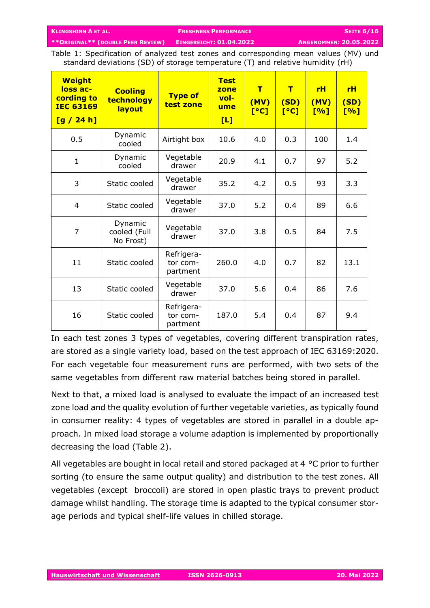Table 1: Specification of analyzed test zones and corresponding mean values (MV) und standard deviations (SD) of storage temperature (T) and relative humidity (rH)

| <b>Weight</b><br>loss ac-<br>cording to<br><b>IEC 63169</b><br>[g / 24 h] | <b>Cooling</b><br>technology<br>layout | <b>Type of</b><br>test zone        | <b>Test</b><br>zone<br>$vol-$<br>ume<br>[L] | $\mathbf T$<br>(MV)<br>[°C] | $\mathbf T$<br>(SD)<br>[°C] | <b>rH</b><br>(MV)<br>[%] | rH<br>(SD)<br>[%] |
|---------------------------------------------------------------------------|----------------------------------------|------------------------------------|---------------------------------------------|-----------------------------|-----------------------------|--------------------------|-------------------|
| 0.5                                                                       | Dynamic<br>cooled                      | Airtight box                       | 10.6                                        | 4.0                         | 0.3                         | 100                      | 1.4               |
| $\mathbf{1}$                                                              | Dynamic<br>cooled                      | Vegetable<br>drawer                | 20.9                                        | 4.1                         | 0.7                         | 97                       | 5.2               |
| 3                                                                         | Static cooled                          | Vegetable<br>drawer                | 35.2                                        | 4.2                         | 0.5                         | 93                       | 3.3               |
| $\overline{4}$                                                            | Static cooled                          | Vegetable<br>drawer                | 37.0                                        | 5.2                         | 0.4                         | 89                       | 6.6               |
| $\overline{7}$                                                            | Dynamic<br>cooled (Full<br>No Frost)   | Vegetable<br>drawer                | 37.0                                        | 3.8                         | 0.5                         | 84                       | 7.5               |
| 11                                                                        | Static cooled                          | Refrigera-<br>tor com-<br>partment | 260.0                                       | 4.0                         | 0.7                         | 82                       | 13.1              |
| 13                                                                        | Static cooled                          | Vegetable<br>drawer                | 37.0                                        | 5.6                         | 0.4                         | 86                       | 7.6               |
| 16                                                                        | Static cooled                          | Refrigera-<br>tor com-<br>partment | 187.0                                       | 5.4                         | 0.4                         | 87                       | 9.4               |

In each test zones 3 types of vegetables, covering different transpiration rates, are stored as a single variety load, based on the test approach of IEC 63169:2020. For each vegetable four measurement runs are performed, with two sets of the same vegetables from different raw material batches being stored in parallel.

Next to that, a mixed load is analysed to evaluate the impact of an increased test zone load and the quality evolution of further vegetable varieties, as typically found in consumer reality: 4 types of vegetables are stored in parallel in a double approach. In mixed load storage a volume adaption is implemented by proportionally decreasing the load (Table 2).

All vegetables are bought in local retail and stored packaged at 4 °C prior to further sorting (to ensure the same output quality) and distribution to the test zones. All vegetables (except broccoli) are stored in open plastic trays to prevent product damage whilst handling. The storage time is adapted to the typical consumer storage periods and typical shelf-life values in chilled storage.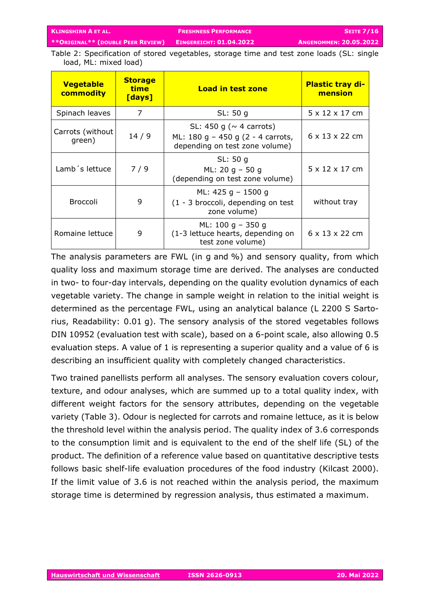Table 2: Specification of stored vegetables, storage time and test zone loads (SL: single load, ML: mixed load)

| <b>Vegetable</b><br>commodity | <b>Storage</b><br>time<br>[days] | <b>Load in test zone</b>                                                                               | <b>Plastic tray di-</b><br>mension |  |
|-------------------------------|----------------------------------|--------------------------------------------------------------------------------------------------------|------------------------------------|--|
| Spinach leaves                | 7<br>SL: 50 g                    |                                                                                                        | $5 \times 12 \times 17$ cm         |  |
| Carrots (without<br>green)    | 14/9                             | SL: 450 g ( $\sim$ 4 carrots)<br>ML: 180 g $-$ 450 g (2 - 4 carrots,<br>depending on test zone volume) | $6 \times 13 \times 22$ cm         |  |
| Lamb 's lettuce               | 7/9                              | SL: 50 g<br>ML: 20 g $-$ 50 g<br>(depending on test zone volume)                                       | $5 \times 12 \times 17$ cm         |  |
| <b>Broccoli</b>               | 9                                | ML: 425 g $-$ 1500 g<br>(1 - 3 broccoli, depending on test<br>zone volume)                             | without tray                       |  |
| Romaine lettuce               | 9                                | ML: $100 g - 350 g$<br>(1-3 lettuce hearts, depending on<br>test zone volume)                          | 6 x 13 x 22 cm                     |  |

The analysis parameters are FWL (in g and %) and sensory quality, from which quality loss and maximum storage time are derived. The analyses are conducted in two- to four-day intervals, depending on the quality evolution dynamics of each vegetable variety. The change in sample weight in relation to the initial weight is determined as the percentage FWL, using an analytical balance (L 2200 S Sartorius, Readability: 0.01 g). The sensory analysis of the stored vegetables follows DIN 10952 (evaluation test with scale), based on a 6-point scale, also allowing 0.5 evaluation steps. A value of 1 is representing a superior quality and a value of 6 is describing an insufficient quality with completely changed characteristics.

Two trained panellists perform all analyses. The sensory evaluation covers colour, texture, and odour analyses, which are summed up to a total quality index, with different weight factors for the sensory attributes, depending on the vegetable variety (Table 3). Odour is neglected for carrots and romaine lettuce, as it is below the threshold level within the analysis period. The quality index of 3.6 corresponds to the consumption limit and is equivalent to the end of the shelf life (SL) of the product. The definition of a reference value based on quantitative descriptive tests follows basic shelf-life evaluation procedures of the food industry (Kilcast 2000). If the limit value of 3.6 is not reached within the analysis period, the maximum storage time is determined by regression analysis, thus estimated a maximum.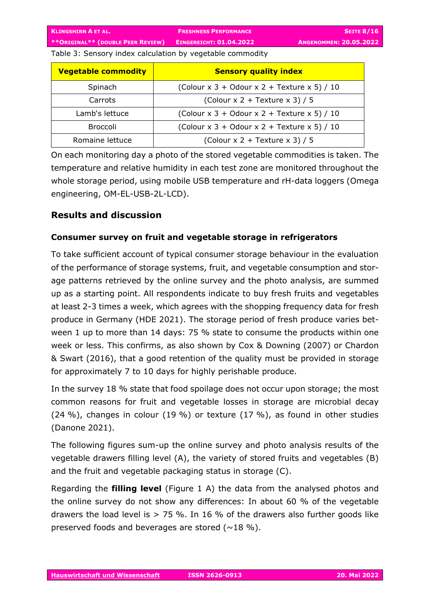Table 3: Sensory index calculation by vegetable commodity

| <b>Vegetable commodity</b> | <b>Sensory quality index</b>                |  |  |
|----------------------------|---------------------------------------------|--|--|
| Spinach                    | (Colour x 3 + Odour x 2 + Texture x 5) / 10 |  |  |
| Carrots                    | (Colour $x$ 2 + Texture $x$ 3) / 5          |  |  |
| Lamb's lettuce             | (Colour x 3 + Odour x 2 + Texture x 5) / 10 |  |  |
| <b>Broccoli</b>            | (Colour x 3 + Odour x 2 + Texture x 5) / 10 |  |  |
| Romaine lettuce            | (Colour $x$ 2 + Texture $x$ 3) / 5          |  |  |

On each monitoring day a photo of the stored vegetable commodities is taken. The temperature and relative humidity in each test zone are monitored throughout the whole storage period, using mobile USB temperature and rH-data loggers (Omega engineering, OM-EL-USB-2L-LCD).

# **Results and discussion**

## **Consumer survey on fruit and vegetable storage in refrigerators**

To take sufficient account of typical consumer storage behaviour in the evaluation of the performance of storage systems, fruit, and vegetable consumption and storage patterns retrieved by the online survey and the photo analysis, are summed up as a starting point. All respondents indicate to buy fresh fruits and vegetables at least 2-3 times a week, which agrees with the shopping frequency data for fresh produce in Germany (HDE 2021). The storage period of fresh produce varies between 1 up to more than 14 days: 75 % state to consume the products within one week or less. This confirms, as also shown by Cox & Downing (2007) or Chardon & Swart (2016), that a good retention of the quality must be provided in storage for approximately 7 to 10 days for highly perishable produce.

In the survey 18 % state that food spoilage does not occur upon storage; the most common reasons for fruit and vegetable losses in storage are microbial decay (24 %), changes in colour (19 %) or texture (17 %), as found in other studies (Danone 2021).

The following figures sum-up the online survey and photo analysis results of the vegetable drawers filling level (A), the variety of stored fruits and vegetables (B) and the fruit and vegetable packaging status in storage (C).

Regarding the **filling level** (Figure 1 A) the data from the analysed photos and the online survey do not show any differences: In about 60 % of the vegetable drawers the load level is  $> 75$  %. In 16 % of the drawers also further goods like preserved foods and beverages are stored  $(\sim 18\%)$ .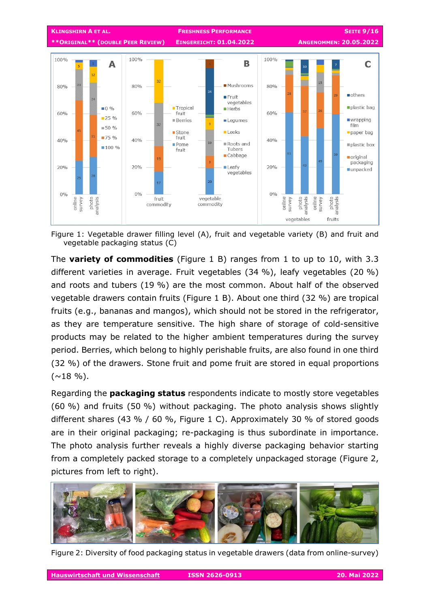

Figure 1: Vegetable drawer filling level (A), fruit and vegetable variety (B) and fruit and vegetable packaging status (C)

The **variety of commodities** (Figure 1 B) ranges from 1 to up to 10, with 3.3 different varieties in average. Fruit vegetables (34 %), leafy vegetables (20 %) and roots and tubers (19 %) are the most common. About half of the observed vegetable drawers contain fruits (Figure 1 B). About one third (32 %) are tropical fruits (e.g., bananas and mangos), which should not be stored in the refrigerator, as they are temperature sensitive. The high share of storage of cold-sensitive products may be related to the higher ambient temperatures during the survey period. Berries, which belong to highly perishable fruits, are also found in one third (32 %) of the drawers. Stone fruit and pome fruit are stored in equal proportions  $(\sim 18 \frac{9}{6})$ .

Regarding the **packaging status** respondents indicate to mostly store vegetables (60 %) and fruits (50 %) without packaging. The photo analysis shows slightly different shares (43 % / 60 %, Figure 1 C). Approximately 30 % of stored goods are in their original packaging; re-packaging is thus subordinate in importance. The photo analysis further reveals a highly diverse packaging behavior starting from a completely packed storage to a completely unpackaged storage (Figure 2, pictures from left to right).



Figure 2: Diversity of food packaging status in vegetable drawers (data from online-survey)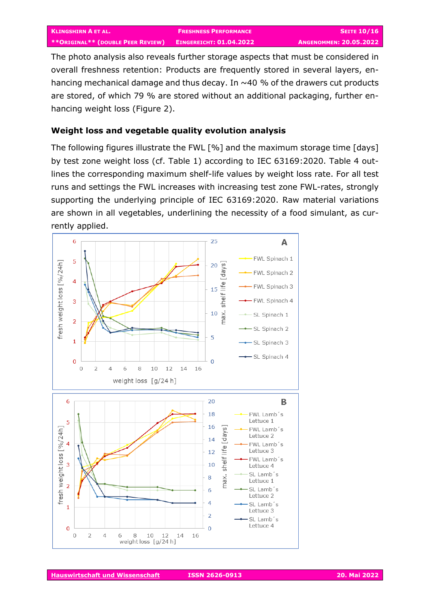The photo analysis also reveals further storage aspects that must be considered in overall freshness retention: Products are frequently stored in several layers, enhancing mechanical damage and thus decay. In  $\sim$  40 % of the drawers cut products are stored, of which 79 % are stored without an additional packaging, further enhancing weight loss (Figure 2).

### **Weight loss and vegetable quality evolution analysis**

The following figures illustrate the FWL [%] and the maximum storage time [days] by test zone weight loss (cf. Table 1) according to IEC 63169:2020. Table 4 outlines the corresponding maximum shelf-life values by weight loss rate. For all test runs and settings the FWL increases with increasing test zone FWL-rates, strongly supporting the underlying principle of IEC 63169:2020. Raw material variations are shown in all vegetables, underlining the necessity of a food simulant, as currently applied.

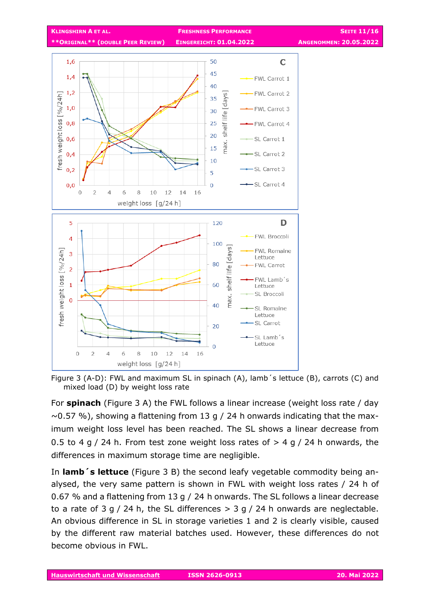

Figure 3 (A-D): FWL and maximum SL in spinach (A), lamb´s lettuce (B), carrots (C) and mixed load (D) by weight loss rate

For **spinach** (Figure 3 A) the FWL follows a linear increase (weight loss rate / day  $\sim$  0.57 %), showing a flattening from 13 g / 24 h onwards indicating that the maximum weight loss level has been reached. The SL shows a linear decrease from 0.5 to 4 g / 24 h. From test zone weight loss rates of  $>$  4 g / 24 h onwards, the differences in maximum storage time are negligible.

In **lamb´s lettuce** (Figure 3 B) the second leafy vegetable commodity being analysed, the very same pattern is shown in FWL with weight loss rates / 24 h of 0.67 % and a flattening from 13 g / 24 h onwards. The SL follows a linear decrease to a rate of 3 g / 24 h, the SL differences  $>$  3 g / 24 h onwards are neglectable. An obvious difference in SL in storage varieties 1 and 2 is clearly visible, caused by the different raw material batches used. However, these differences do not become obvious in FWL.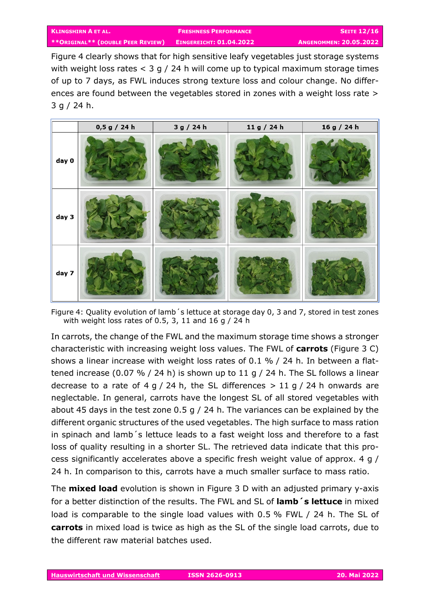Figure 4 clearly shows that for high sensitive leafy vegetables just storage systems with weight loss rates < 3 g / 24 h will come up to typical maximum storage times of up to 7 days, as FWL induces strong texture loss and colour change. No differences are found between the vegetables stored in zones with a weight loss rate > 3 g / 24 h.



Figure 4: Quality evolution of lamb´s lettuce at storage day 0, 3 and 7, stored in test zones with weight loss rates of 0.5, 3, 11 and 16 g / 24 h

In carrots, the change of the FWL and the maximum storage time shows a stronger characteristic with increasing weight loss values. The FWL of **carrots** (Figure 3 C) shows a linear increase with weight loss rates of 0.1 % / 24 h. In between a flattened increase (0.07 % / 24 h) is shown up to 11 g / 24 h. The SL follows a linear decrease to a rate of 4 g / 24 h, the SL differences  $> 11$  g / 24 h onwards are neglectable. In general, carrots have the longest SL of all stored vegetables with about 45 days in the test zone 0.5 g / 24 h. The variances can be explained by the different organic structures of the used vegetables. The high surface to mass ration in spinach and lamb´s lettuce leads to a fast weight loss and therefore to a fast loss of quality resulting in a shorter SL. The retrieved data indicate that this process significantly accelerates above a specific fresh weight value of approx. 4 g / 24 h. In comparison to this, carrots have a much smaller surface to mass ratio.

The **mixed load** evolution is shown in Figure 3 D with an adjusted primary y-axis for a better distinction of the results. The FWL and SL of **lamb´s lettuce** in mixed load is comparable to the single load values with 0.5 % FWL / 24 h. The SL of **carrots** in mixed load is twice as high as the SL of the single load carrots, due to the different raw material batches used.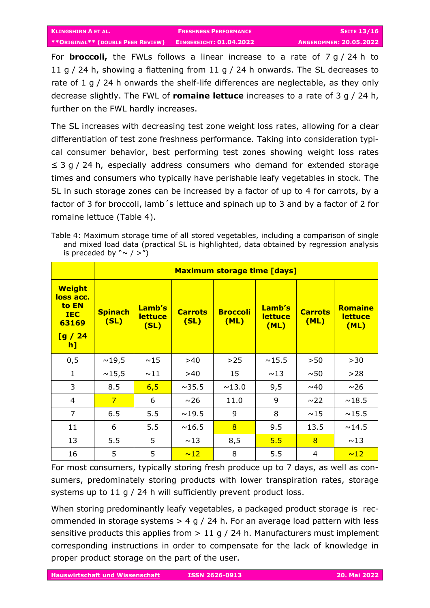For **broccoli,** the FWLs follows a linear increase to a rate of 7 g / 24 h to 11 g / 24 h, showing a flattening from 11 g / 24 h onwards. The SL decreases to rate of 1 g / 24 h onwards the shelf-life differences are neglectable, as they only decrease slightly. The FWL of **romaine lettuce** increases to a rate of 3 g / 24 h, further on the FWL hardly increases.

The SL increases with decreasing test zone weight loss rates, allowing for a clear differentiation of test zone freshness performance. Taking into consideration typical consumer behavior, best performing test zones showing weight loss rates ≤ 3 g / 24 h, especially address consumers who demand for extended storage times and consumers who typically have perishable leafy vegetables in stock. The SL in such storage zones can be increased by a factor of up to 4 for carrots, by a factor of 3 for broccoli, lamb 's lettuce and spinach up to 3 and by a factor of 2 for romaine lettuce (Table 4).

Table 4: Maximum storage time of all stored vegetables, including a comparison of single and mixed load data (practical SL is highlighted, data obtained by regression analysis is preceded by  $" \sim / >"$ )

|                                                                            | <b>Maximum storage time [days]</b> |                                  |                        |                         |                                  |                        |                                          |
|----------------------------------------------------------------------------|------------------------------------|----------------------------------|------------------------|-------------------------|----------------------------------|------------------------|------------------------------------------|
| <b>Weight</b><br>loss acc.<br>to EN<br><b>IEC</b><br>63169<br>[g/24]<br>h] | <b>Spinach</b><br>(SL)             | Lamb's<br><b>lettuce</b><br>(SL) | <b>Carrots</b><br>(SL) | <b>Broccoli</b><br>(ML) | Lamb's<br><b>lettuce</b><br>(ML) | <b>Carrots</b><br>(ML) | <b>Romaine</b><br><b>lettuce</b><br>(ML) |
| 0,5                                                                        | ~19,5                              | ~15                              | >40                    | $>25$                   | ~15.5                            | >50                    | >30                                      |
| $\mathbf{1}$                                                               | ~15,5                              | ~11                              | >40                    | 15                      | ~13                              | ~50                    | >28                                      |
| 3                                                                          | 8.5                                | 6,5                              | $\sim$ 35.5            | ~13.0                   | 9,5                              | ~0.40                  | $~1$ $\sim$ 26                           |
| $\overline{4}$                                                             | $\overline{7}$                     | 6                                | ~10                    | 11.0                    | 9                                | $\sim$ 22              | $\sim$ 18.5                              |
| $\overline{7}$                                                             | 6.5                                | 5.5                              | ~19.5                  | 9                       | 8                                | ~15                    | ~15.5                                    |
| 11                                                                         | 6                                  | 5.5                              | ~16.5                  | 8                       | 9.5                              | 13.5                   | ~14.5                                    |
| 13                                                                         | 5.5                                | 5                                | ~13                    | 8,5                     | 5.5                              | 8                      | ~13                                      |
| 16                                                                         | 5                                  | 5                                | ~12                    | 8                       | 5.5                              | $\overline{4}$         | ~12                                      |

For most consumers, typically storing fresh produce up to 7 days, as well as consumers, predominately storing products with lower transpiration rates, storage systems up to 11 g / 24 h will sufficiently prevent product loss.

When storing predominantly leafy vegetables, a packaged product storage is recommended in storage systems  $> 4$  g / 24 h. For an average load pattern with less sensitive products this applies from  $> 11$  g / 24 h. Manufacturers must implement corresponding instructions in order to compensate for the lack of knowledge in proper product storage on the part of the user.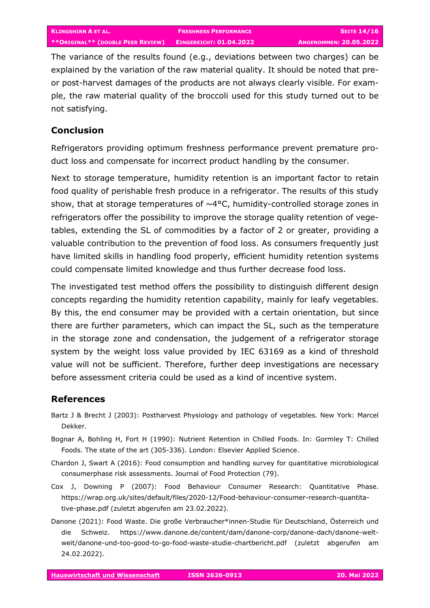The variance of the results found (e.g., deviations between two charges) can be explained by the variation of the raw material quality. It should be noted that preor post-harvest damages of the products are not always clearly visible. For example, the raw material quality of the broccoli used for this study turned out to be not satisfying.

## **Conclusion**

Refrigerators providing optimum freshness performance prevent premature product loss and compensate for incorrect product handling by the consumer.

Next to storage temperature, humidity retention is an important factor to retain food quality of perishable fresh produce in a refrigerator. The results of this study show, that at storage temperatures of  $\sim$ 4°C, humidity-controlled storage zones in refrigerators offer the possibility to improve the storage quality retention of vegetables, extending the SL of commodities by a factor of 2 or greater, providing a valuable contribution to the prevention of food loss. As consumers frequently just have limited skills in handling food properly, efficient humidity retention systems could compensate limited knowledge and thus further decrease food loss.

The investigated test method offers the possibility to distinguish different design concepts regarding the humidity retention capability, mainly for leafy vegetables. By this, the end consumer may be provided with a certain orientation, but since there are further parameters, which can impact the SL, such as the temperature in the storage zone and condensation, the judgement of a refrigerator storage system by the weight loss value provided by IEC 63169 as a kind of threshold value will not be sufficient. Therefore, further deep investigations are necessary before assessment criteria could be used as a kind of incentive system.

## **References**

- Bartz J & Brecht J (2003): Postharvest Physiology and pathology of vegetables. New York: Marcel Dekker.
- Bognar A, Bohling H, Fort H (1990): Nutrient Retention in Chilled Foods. In: Gormley T: Chilled Foods. The state of the art (305-336). London: Elsevier Applied Science.
- Chardon J, Swart A (2016): Food consumption and handling survey for quantitative microbiological consumerphase risk assessments. Journal of Food Protection (79).
- Cox J, Downing P (2007): Food Behaviour Consumer Research: Quantitative Phase. https://wrap.org.uk/sites/default/files/2020-12/Food-behaviour-consumer-research-quantitative-phase.pdf (zuletzt abgerufen am 23.02.2022).
- Danone (2021): Food Waste. Die große Verbraucher\*innen-Studie für Deutschland, Österreich und die Schweiz. https://www.danone.de/content/dam/danone-corp/danone-dach/danone-weltweit/danone-und-too-good-to-go-food-waste-studie-chartbericht.pdf (zuletzt abgerufen am 24.02.2022).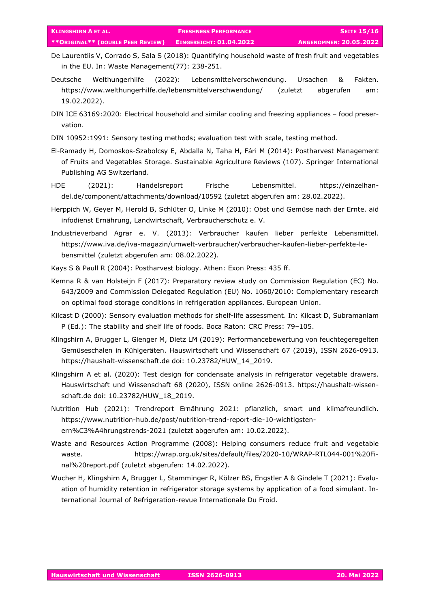- De Laurentiis V, Corrado S, Sala S (2018): Quantifying household waste of fresh fruit and vegetables in the EU. In: Waste Management(77): 238-251.
- Deutsche Welthungerhilfe (2022): Lebensmittelverschwendung. Ursachen & Fakten. https://www.welthungerhilfe.de/lebensmittelverschwendung/ (zuletzt abgerufen am: 19.02.2022).
- DIN ICE 63169:2020: Electrical household and similar cooling and freezing appliances food preservation.
- DIN 10952:1991: Sensory testing methods; evaluation test with scale, testing method.
- El-Ramady H, Domoskos-Szabolcsy E, Abdalla N, Taha H, Fári M (2014): Postharvest Management of Fruits and Vegetables Storage. Sustainable Agriculture Reviews (107). Springer International Publishing AG Switzerland.
- HDE (2021): Handelsreport Frische Lebensmittel. https://einzelhandel.de/component/attachments/download/10592 (zuletzt abgerufen am: 28.02.2022).
- Herppich W, Geyer M, Herold B, Schlüter O, Linke M (2010): Obst und Gemüse nach der Ernte. aid infodienst Ernährung, Landwirtschaft, Verbraucherschutz e. V.
- Industrieverband Agrar e. V. (2013): Verbraucher kaufen lieber perfekte Lebensmittel. https://www.iva.de/iva-magazin/umwelt-verbraucher/verbraucher-kaufen-lieber-perfekte-lebensmittel (zuletzt abgerufen am: 08.02.2022).
- Kays S & Paull R (2004): Postharvest biology. Athen: Exon Press: 435 ff.
- Kemna R & van Holsteijn F (2017): Preparatory review study on Commission Regulation (EC) No. 643/2009 and Commission Delegated Regulation (EU) No. 1060/2010: Complementary research on optimal food storage conditions in refrigeration appliances. European Union.
- Kilcast D (2000): Sensory evaluation methods for shelf-life assessment. In: Kilcast D, Subramaniam P (Ed.): The stability and shelf life of foods. Boca Raton: CRC Press: 79–105.
- Klingshirn A, Brugger L, Gienger M, Dietz LM (2019): Performancebewertung von feuchtegeregelten Gemüseschalen in Kühlgeräten. Hauswirtschaft und Wissenschaft 67 (2019), ISSN 2626-0913. https://haushalt-wissenschaft.de doi: 10.23782/HUW\_14\_2019.
- Klingshirn A et al. (2020): Test design for condensate analysis in refrigerator vegetable drawers. Hauswirtschaft und Wissenschaft 68 (2020), ISSN online 2626-0913. https://haushalt-wissenschaft.de doi: 10.23782/HUW\_18\_2019.
- Nutrition Hub (2021): Trendreport Ernährung 2021: pflanzlich, smart und klimafreundlich. https://www.nutrition-hub.de/post/nutrition-trend-report-die-10-wichtigstenern%C3%A4hrungstrends-2021 (zuletzt abgerufen am: 10.02.2022).
- Waste and Resources Action Programme (2008): Helping consumers reduce fruit and vegetable waste. https://wrap.org.uk/sites/default/files/2020-10/WRAP-RTL044-001%20Final%20report.pdf (zuletzt abgerufen: 14.02.2022).
- Wucher H, Klingshirn A, Brugger L, Stamminger R, Kölzer BS, Engstler A & Gindele T (2021): Evaluation of humidity retention in refrigerator storage systems by application of a food simulant. International Journal of Refrigeration-revue Internationale Du Froid.